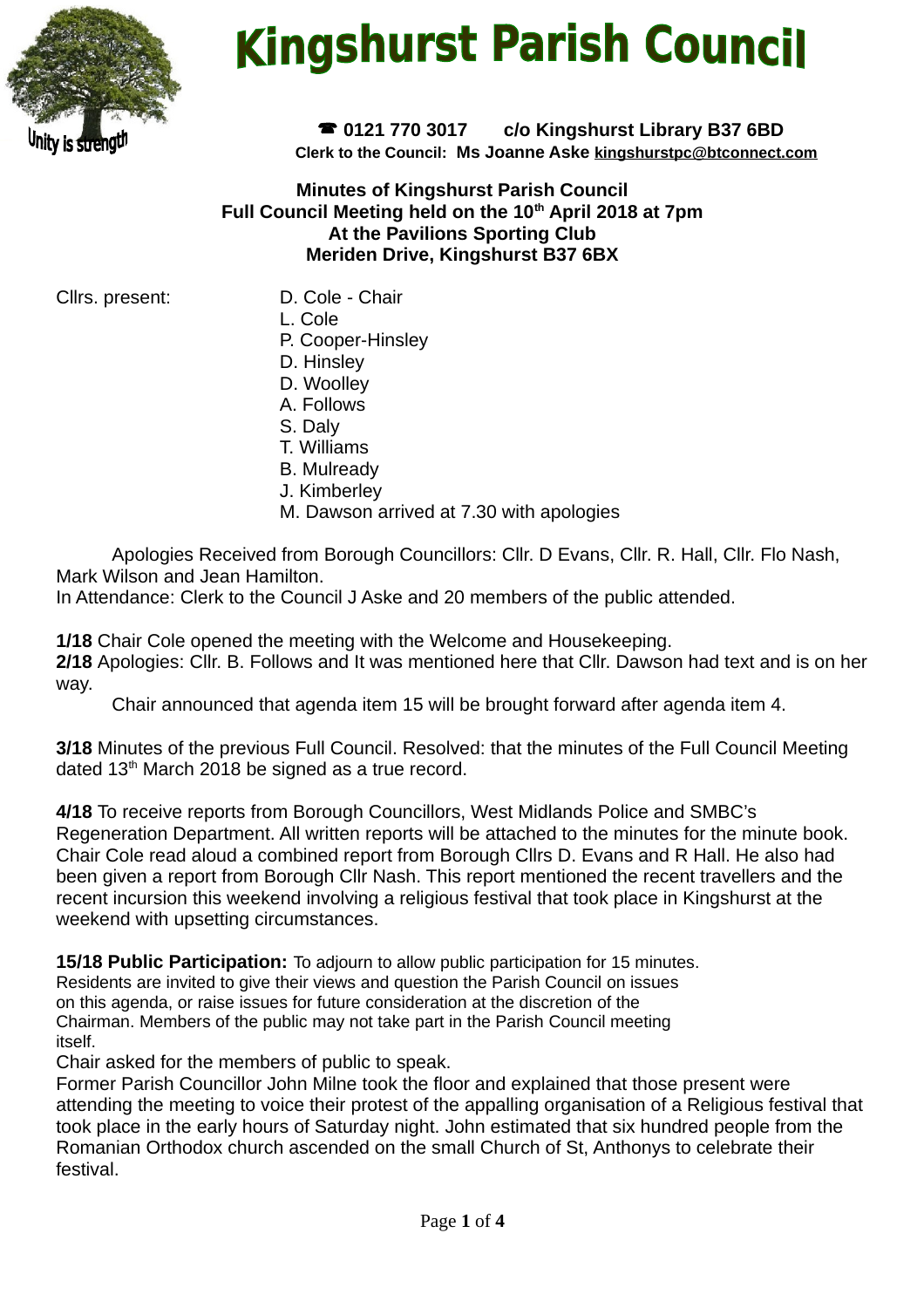

# **Kingshurst Parish Council**

 **0121 770 3017 c/o Kingshurst Library B37 6BD Clerk to the Council: Ms Joanne Aske [kingshurstpc@btconnect.com](mailto:kingshurstpc@btconnect.com)**

**Minutes of Kingshurst Parish Council Full Council Meeting held on the 10th April 2018 at 7pm At the Pavilions Sporting Club Meriden Drive, Kingshurst B37 6BX**

Cllrs. present: D. Cole - Chair

- 
- L. Cole
- P. Cooper-Hinsley
- D. Hinsley
- D. Woolley
- A. Follows
- S. Daly
- T. Williams
- B. Mulready
- J. Kimberley
- M. Dawson arrived at 7.30 with apologies

Apologies Received from Borough Councillors: Cllr. D Evans, Cllr. R. Hall, Cllr. Flo Nash, Mark Wilson and Jean Hamilton.

In Attendance: Clerk to the Council J Aske and 20 members of the public attended.

**1/18** Chair Cole opened the meeting with the Welcome and Housekeeping. **2/18** Apologies: Cllr. B. Follows and It was mentioned here that Cllr. Dawson had text and is on her way.

Chair announced that agenda item 15 will be brought forward after agenda item 4.

**3/18** Minutes of the previous Full Council. Resolved: that the minutes of the Full Council Meeting dated 13<sup>th</sup> March 2018 be signed as a true record.

**4/18** To receive reports from Borough Councillors, West Midlands Police and SMBC's Regeneration Department. All written reports will be attached to the minutes for the minute book. Chair Cole read aloud a combined report from Borough Cllrs D. Evans and R Hall. He also had been given a report from Borough Cllr Nash. This report mentioned the recent travellers and the recent incursion this weekend involving a religious festival that took place in Kingshurst at the weekend with upsetting circumstances.

**15/18 Public Participation:** To adjourn to allow public participation for 15 minutes. Residents are invited to give their views and question the Parish Council on issues on this agenda, or raise issues for future consideration at the discretion of the Chairman. Members of the public may not take part in the Parish Council meeting itself.

Chair asked for the members of public to speak.

Former Parish Councillor John Milne took the floor and explained that those present were attending the meeting to voice their protest of the appalling organisation of a Religious festival that took place in the early hours of Saturday night. John estimated that six hundred people from the Romanian Orthodox church ascended on the small Church of St, Anthonys to celebrate their festival.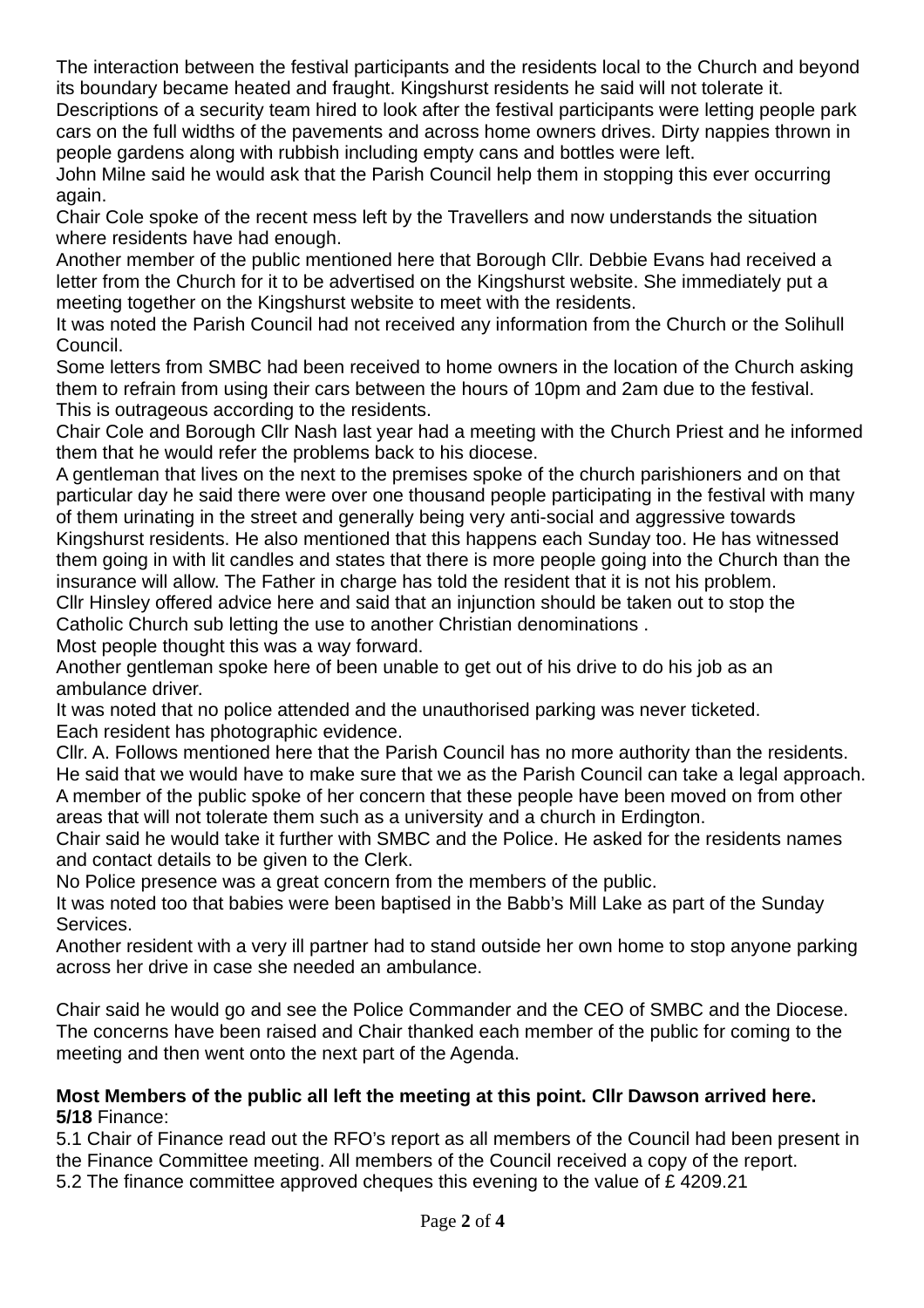The interaction between the festival participants and the residents local to the Church and beyond its boundary became heated and fraught. Kingshurst residents he said will not tolerate it.

Descriptions of a security team hired to look after the festival participants were letting people park cars on the full widths of the pavements and across home owners drives. Dirty nappies thrown in people gardens along with rubbish including empty cans and bottles were left.

John Milne said he would ask that the Parish Council help them in stopping this ever occurring again.

Chair Cole spoke of the recent mess left by the Travellers and now understands the situation where residents have had enough.

Another member of the public mentioned here that Borough Cllr. Debbie Evans had received a letter from the Church for it to be advertised on the Kingshurst website. She immediately put a meeting together on the Kingshurst website to meet with the residents.

It was noted the Parish Council had not received any information from the Church or the Solihull Council.

Some letters from SMBC had been received to home owners in the location of the Church asking them to refrain from using their cars between the hours of 10pm and 2am due to the festival. This is outrageous according to the residents.

Chair Cole and Borough Cllr Nash last year had a meeting with the Church Priest and he informed them that he would refer the problems back to his diocese.

A gentleman that lives on the next to the premises spoke of the church parishioners and on that particular day he said there were over one thousand people participating in the festival with many of them urinating in the street and generally being very anti-social and aggressive towards Kingshurst residents. He also mentioned that this happens each Sunday too. He has witnessed them going in with lit candles and states that there is more people going into the Church than the insurance will allow. The Father in charge has told the resident that it is not his problem. Cllr Hinsley offered advice here and said that an injunction should be taken out to stop the Catholic Church sub letting the use to another Christian denominations .

Most people thought this was a way forward.

Another gentleman spoke here of been unable to get out of his drive to do his job as an ambulance driver.

It was noted that no police attended and the unauthorised parking was never ticketed. Each resident has photographic evidence.

Cllr. A. Follows mentioned here that the Parish Council has no more authority than the residents. He said that we would have to make sure that we as the Parish Council can take a legal approach. A member of the public spoke of her concern that these people have been moved on from other areas that will not tolerate them such as a university and a church in Erdington.

Chair said he would take it further with SMBC and the Police. He asked for the residents names and contact details to be given to the Clerk.

No Police presence was a great concern from the members of the public.

It was noted too that babies were been baptised in the Babb's Mill Lake as part of the Sunday Services.

Another resident with a very ill partner had to stand outside her own home to stop anyone parking across her drive in case she needed an ambulance.

Chair said he would go and see the Police Commander and the CEO of SMBC and the Diocese. The concerns have been raised and Chair thanked each member of the public for coming to the meeting and then went onto the next part of the Agenda.

#### **Most Members of the public all left the meeting at this point. Cllr Dawson arrived here. 5/18** Finance:

5.1 Chair of Finance read out the RFO's report as all members of the Council had been present in the Finance Committee meeting. All members of the Council received a copy of the report.

5.2 The finance committee approved cheques this evening to the value of £ 4209.21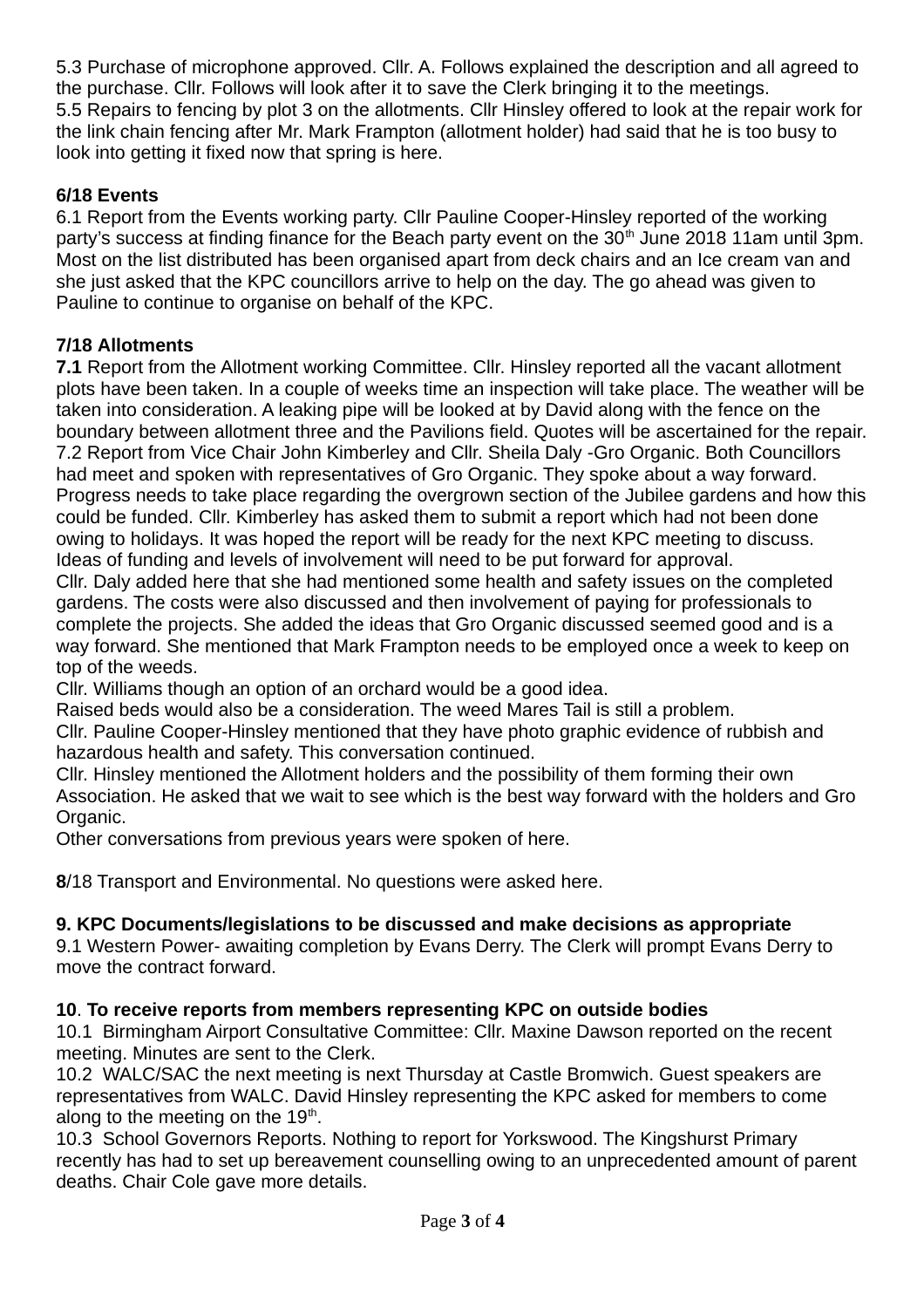5.3 Purchase of microphone approved. Cllr. A. Follows explained the description and all agreed to the purchase. Cllr. Follows will look after it to save the Clerk bringing it to the meetings. 5.5 Repairs to fencing by plot 3 on the allotments. Cllr Hinsley offered to look at the repair work for the link chain fencing after Mr. Mark Frampton (allotment holder) had said that he is too busy to look into getting it fixed now that spring is here.

## **6/18 Events**

6.1 Report from the Events working party. Cllr Pauline Cooper-Hinsley reported of the working party's success at finding finance for the Beach party event on the 30<sup>th</sup> June 2018 11am until 3pm. Most on the list distributed has been organised apart from deck chairs and an Ice cream van and she just asked that the KPC councillors arrive to help on the day. The go ahead was given to Pauline to continue to organise on behalf of the KPC.

## **7/18 Allotments**

**7.1** Report from the Allotment working Committee. Cllr. Hinsley reported all the vacant allotment plots have been taken. In a couple of weeks time an inspection will take place. The weather will be taken into consideration. A leaking pipe will be looked at by David along with the fence on the boundary between allotment three and the Pavilions field. Quotes will be ascertained for the repair. 7.2 Report from Vice Chair John Kimberley and Cllr. Sheila Daly -Gro Organic. Both Councillors had meet and spoken with representatives of Gro Organic. They spoke about a way forward. Progress needs to take place regarding the overgrown section of the Jubilee gardens and how this could be funded. Cllr. Kimberley has asked them to submit a report which had not been done owing to holidays. It was hoped the report will be ready for the next KPC meeting to discuss. Ideas of funding and levels of involvement will need to be put forward for approval.

Cllr. Daly added here that she had mentioned some health and safety issues on the completed gardens. The costs were also discussed and then involvement of paying for professionals to complete the projects. She added the ideas that Gro Organic discussed seemed good and is a way forward. She mentioned that Mark Frampton needs to be employed once a week to keep on top of the weeds.

Cllr. Williams though an option of an orchard would be a good idea.

Raised beds would also be a consideration. The weed Mares Tail is still a problem.

Cllr. Pauline Cooper-Hinsley mentioned that they have photo graphic evidence of rubbish and hazardous health and safety. This conversation continued.

Cllr. Hinsley mentioned the Allotment holders and the possibility of them forming their own Association. He asked that we wait to see which is the best way forward with the holders and Gro Organic.

Other conversations from previous years were spoken of here.

**8**/18 Transport and Environmental. No questions were asked here.

#### **9. KPC Documents/legislations to be discussed and make decisions as appropriate**

9.1 Western Power- awaiting completion by Evans Derry. The Clerk will prompt Evans Derry to move the contract forward.

#### **10**. **To receive reports from members representing KPC on outside bodies**

10.1 Birmingham Airport Consultative Committee: Cllr. Maxine Dawson reported on the recent meeting. Minutes are sent to the Clerk.

10.2 WALC/SAC the next meeting is next Thursday at Castle Bromwich. Guest speakers are representatives from WALC. David Hinsley representing the KPC asked for members to come along to the meeting on the  $19<sup>th</sup>$ .

10.3 School Governors Reports. Nothing to report for Yorkswood. The Kingshurst Primary recently has had to set up bereavement counselling owing to an unprecedented amount of parent deaths. Chair Cole gave more details.